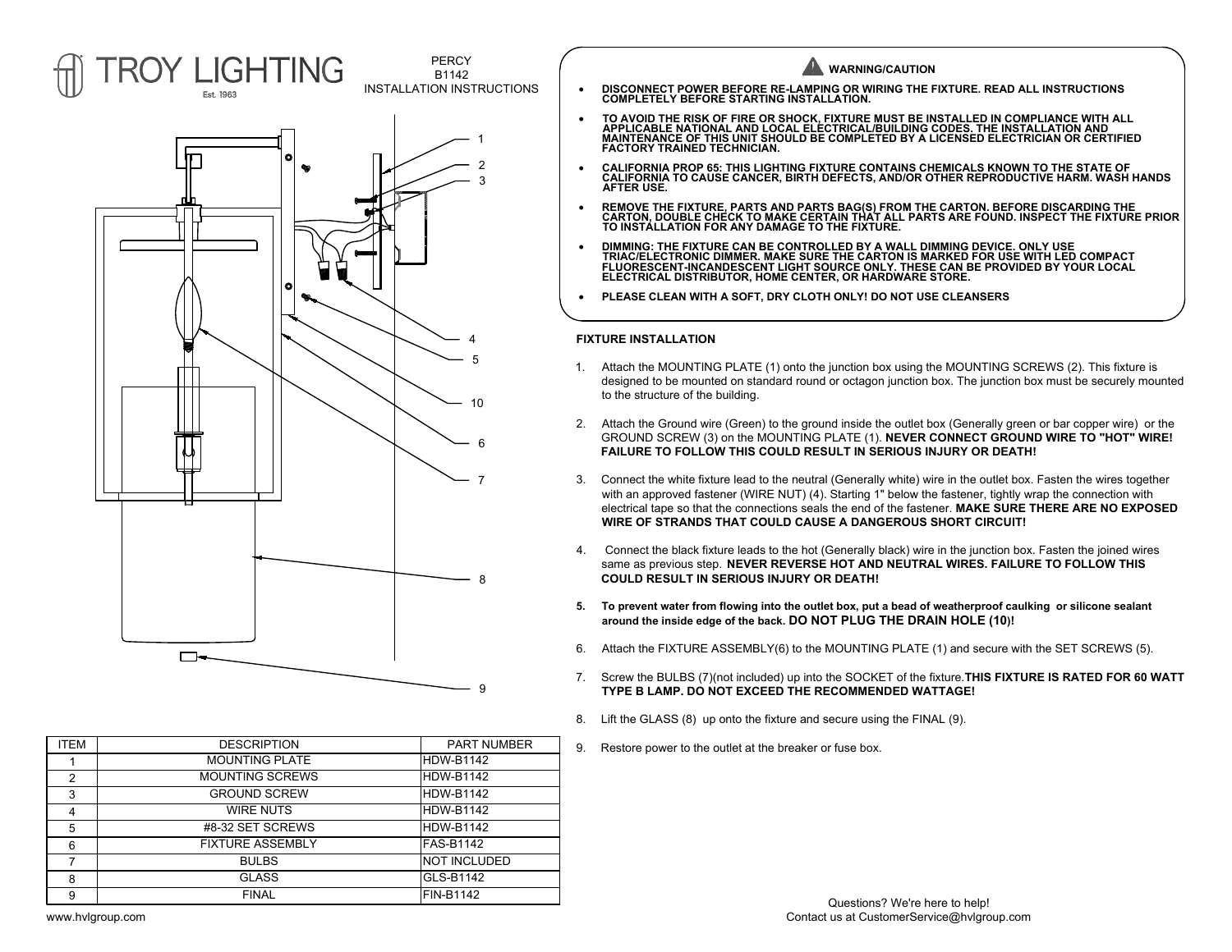

| ITEM | <b>DESCRIPTION</b>      | <b>PART NUMBER</b> | 9. | Restore pow |
|------|-------------------------|--------------------|----|-------------|
|      | <b>MOUNTING PLATE</b>   | IHDW-B1142         |    |             |
| 2    | <b>MOUNTING SCREWS</b>  | HDW-B1142          |    |             |
| 3    | <b>GROUND SCREW</b>     | IHDW-B1142         |    |             |
| 4    | WIRE NUTS               | HDW-B1142          |    |             |
| 5    | #8-32 SET SCREWS        | IHDW-B1142         |    |             |
| 6    | <b>FIXTURE ASSEMBLY</b> | lFAS-B1142         |    |             |
|      | <b>BULBS</b>            | INOT INCLUDED      |    |             |
| 8    | <b>GLASS</b>            | GLS-B1142          |    |             |
| 9    | <b>FINAL</b>            | FIN-B1142          |    |             |



- · **DISCONNECT POWER BEFORE RE-LAMPING OR WIRING THE FIXTURE. READ ALL INSTRUCTIONS COMPLETELY BEFORE STARTING INSTALLATION.**
- TO AVOID THE RISK OF FIRE OR SHOCK, FIXTURE MUST BE INSTALLED IN COMPLIANCE WITH ALL<br> APPLICABLE NATIONAL AND LOCAL ELECTRICAL/BUILDING CODES. THE INSTALLATION AND<br> MAINTENANCE OF THIS UNIT SHOULD BE C **FACTORY TRAINED TECHNICIAN.**
- · **CALIFORNIA PROP 65: THIS LIGHTING FIXTURE CONTAINS CHEMICALS KNOWN TO THE STATE OF CALIFORNIA TO CAUSE CANCER, BIRTH DEFECTS, AND/OR OTHER REPRODUCTIVE HARM. WASH HANDS AFTER USE.**
- REMOVE THE FIXTURE, PARTS AND PARTS BAG(S) FROM THE CARTON. BEFORE DISCARDING THE<br> CARTON, DOUBLE CHECK TO MAKE CERTAIN THAT ALL PARTS ARE FOUND. INSPECT THE FIXTURE PRIOR<br> TO INSTALLATION FOR ANY DAMAGE TO THE F
- · **DIMMING: THE FIXTURE CAN BE CONTROLLED BY A WALL DIMMING DEVICE. ONLY USE TRIAC/ELECTRONIC DIMMER. MAKE SURE THE CARTON IS MARKED FOR USE WITH LED COMPACT FLUORESCENT-INCANDESCENT LIGHT SOURCE ONLY. THESE CAN BE PROVIDED BY YOUR LOCAL ELECTRICAL DISTRIBUTOR, HOME CENTER, OR HARDWARE STORE.**
- · **PLEASE CLEAN WITH A SOFT, DRY CLOTH ONLY! DO NOT USE CLEANSERS**

## **FIXTURE INSTALLATION**

- 1. Attach the MOUNTING PLATE (1) onto the junction box using the MOUNTING SCREWS (2). This fixture is designed to be mounted on standard round or octagon junction box. The junction box must be securely mounted to the structure of the building.
- 2. Attach the Ground wire (Green) to the ground inside the outlet box (Generally green or bar copper wire) or the GROUND SCREW (3) on the MOUNTING PLATE (1). **NEVER CONNECT GROUND WIRE TO "HOT" WIRE! FAILURE TO FOLLOW THIS COULD RESULT IN SERIOUS INJURY OR DEATH!**
- 3. Connect the white fixture lead to the neutral (Generally white) wire in the outlet box. Fasten the wires together with an approved fastener (WIRE NUT) (4). Starting 1" below the fastener, tightly wrap the connection with electrical tape so that the connections seals the end of the fastener. **MAKE SURE THERE ARE NO EXPOSED WIRE OF STRANDS THAT COULD CAUSE A DANGEROUS SHORT CIRCUIT!**
- 4. Connect the black fixture leads to the hot (Generally black) wire in the junction box. Fasten the joined wires same as previous step. **NEVER REVERSE HOT AND NEUTRAL WIRES. FAILURE TO FOLLOW THIS COULD RESULT IN SERIOUS INJURY OR DEATH!**
- **5. To prevent water from flowing into the outlet box, put a bead of weatherproof caulking or silicone sealant around the inside edge of the back. DO NOT PLUG THE DRAIN HOLE (10)!**
- 6. Attach the FIXTURE ASSEMBLY(6) to the MOUNTING PLATE (1) and secure with the SET SCREWS (5).
- 7. Screw the BULBS (7)(not included) up into the SOCKET of the fixture.**THIS FIXTURE IS RATED FOR 60 WATT TYPE B LAMP. DO NOT EXCEED THE RECOMMENDED WATTAGE!**
- 8. Lift the GLASS (8) up onto the fixture and secure using the FINAL (9).
- 9. Restore power to the outlet at the breaker or fuse box.